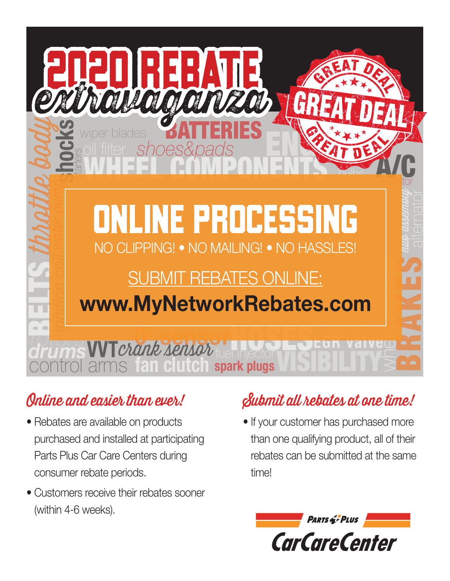

## Online and easier than ever!

- Rebates are available on products purchased and installed at participating Parts Plus Car Care Centers during consumer rebate periods.
- Customers receive their rebates sooner (within 4-6 weeks).

# Submit all rebates at one time!

• If your customer has purchased more than one qualifying product, all of their rebates can be submitted at the same time!